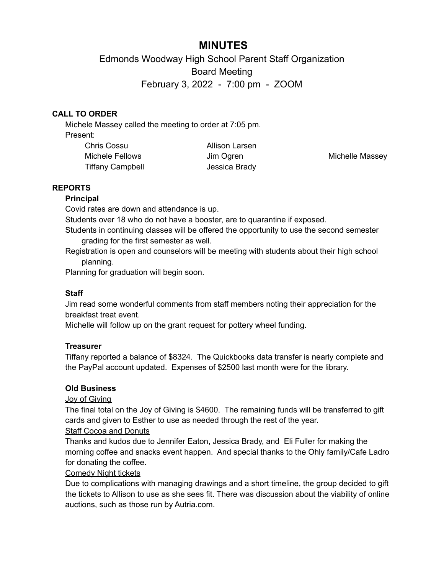# **MINUTES**

Edmonds Woodway High School Parent Staff Organization Board Meeting February 3, 2022 - 7:00 pm - ZOOM

# **CALL TO ORDER**

Michele Massey called the meeting to order at 7:05 pm. Present:

Chris Cossu Michele Fellows Tiffany Campbell **Internal Control** Jessica Brady

Allison Larsen

Jim Ogren **Michelle Massey** 

### **REPORTS**

#### **Principal**

Covid rates are down and attendance is up.

Students over 18 who do not have a booster, are to quarantine if exposed.

Students in continuing classes will be offered the opportunity to use the second semester grading for the first semester as well.

Registration is open and counselors will be meeting with students about their high school planning.

Planning for graduation will begin soon.

### **Staff**

Jim read some wonderful comments from staff members noting their appreciation for the breakfast treat event.

Michelle will follow up on the grant request for pottery wheel funding.

### **Treasurer**

Tiffany reported a balance of \$8324. The Quickbooks data transfer is nearly complete and the PayPal account updated. Expenses of \$2500 last month were for the library.

#### **Old Business**

### Joy of Giving

The final total on the Joy of Giving is \$4600. The remaining funds will be transferred to gift cards and given to Esther to use as needed through the rest of the year.

# Staff Cocoa and Donuts

Thanks and kudos due to Jennifer Eaton, Jessica Brady, and Eli Fuller for making the morning coffee and snacks event happen. And special thanks to the Ohly family/Cafe Ladro for donating the coffee.

### Comedy Night tickets

Due to complications with managing drawings and a short timeline, the group decided to gift the tickets to Allison to use as she sees fit. There was discussion about the viability of online auctions, such as those run by Autria.com.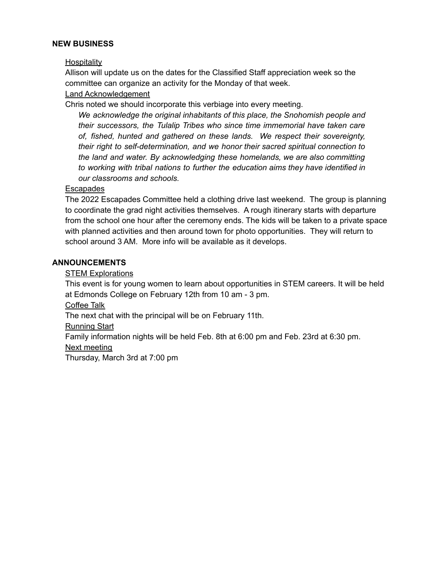#### **NEW BUSINESS**

Hospitality

Allison will update us on the dates for the Classified Staff appreciation week so the committee can organize an activity for the Monday of that week.

#### Land Acknowledgement

Chris noted we should incorporate this verbiage into every meeting.

*We acknowledge the original inhabitants of this place, the Snohomish people and their successors, the Tulalip Tribes who since time immemorial have taken care of, fished, hunted and gathered on these lands. We respect their sovereignty, their right to self-determination, and we honor their sacred spiritual connection to the land and water. By acknowledging these homelands, we are also committing to working with tribal nations to further the education aims they have identified in our classrooms and schools.*

#### **Escapades**

The 2022 Escapades Committee held a clothing drive last weekend. The group is planning to coordinate the grad night activities themselves. A rough itinerary starts with departure from the school one hour after the ceremony ends. The kids will be taken to a private space with planned activities and then around town for photo opportunities. They will return to school around 3 AM. More info will be available as it develops.

#### **ANNOUNCEMENTS**

STEM Explorations

This event is for young women to learn about opportunities in STEM careers. It will be held at Edmonds College on February 12th from 10 am - 3 pm.

Coffee Talk

The next chat with the principal will be on February 11th.

Running Start

Family information nights will be held Feb. 8th at 6:00 pm and Feb. 23rd at 6:30 pm. Next meeting

Thursday, March 3rd at 7:00 pm